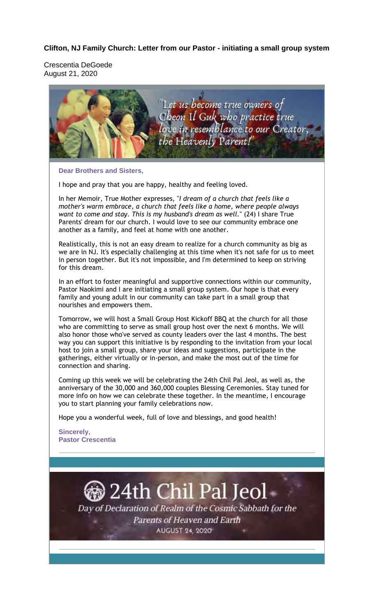#### **Clifton, NJ Family Church: Letter from our Pastor - initiating a small group system**

Crescentia DeGoede August 21, 2020



**Dear Brothers and Sisters,** 

I hope and pray that you are happy, healthy and feeling loved.

In her Memoir, True Mother expresses, "*I dream of a church that feels like a mother's warm embrace, a church that feels like a home, where people always want to come and stay. This is my husband's dream as well.*" (24) I share True Parents' dream for our church. I would love to see our community embrace one another as a family, and feel at home with one another.

Realistically, this is not an easy dream to realize for a church community as big as we are in NJ. It's especially challenging at this time when it's not safe for us to meet in person together. But it's not impossible, and I'm determined to keep on striving for this dream.

In an effort to foster meaningful and supportive connections within our community, Pastor Naokimi and I are initiating a small group system. Our hope is that every family and young adult in our community can take part in a small group that nourishes and empowers them.

Tomorrow, we will host a Small Group Host Kickoff BBQ at the church for all those who are committing to serve as small group host over the next 6 months. We will also honor those who've served as county leaders over the last 4 months. The best way you can support this initiative is by responding to the invitation from your local host to join a small group, share your ideas and suggestions, participate in the gatherings, either virtually or in-person, and make the most out of the time for connection and sharing.

Coming up this week we will be celebrating the 24th Chil Pal Jeol, as well as, the anniversary of the 30,000 and 360,000 couples Blessing Ceremonies. Stay tuned for more info on how we can celebrate these together. In the meantime, I encourage you to start planning your family celebrations now.

Hope you a wonderful week, full of love and blessings, and good health!

**Sincerely, Pastor Crescentia**

# 24th Chil Pal Jeol (

Day of Declaration of Realm of the Cosmic Sabbath for the Parents of Heaven and Earth **AUGUST 24, 2020**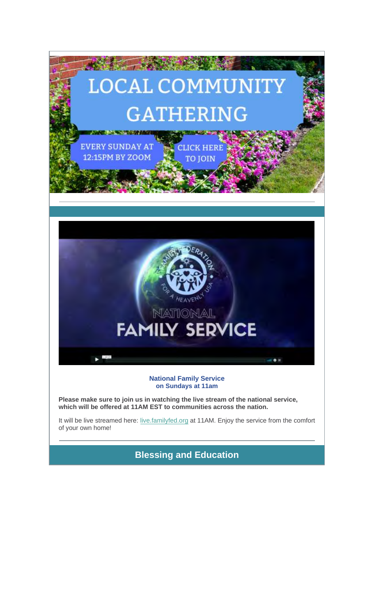

**National Family Service on Sundays at 11am**

**Please make sure to join us in watching the live stream of the national service, which will be offered at 11AM EST to communities across the nation.**

It will be live streamed here: live.familyfed.org at 11AM. Enjoy the service from the comfort of your own home!

**Blessing and Education**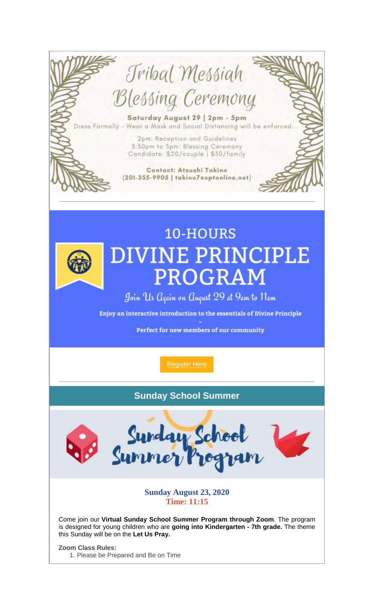

Enjoy an interactive introduction to the essentials of Divine Principle

Perfect for new members of our community

**Register Here** 

### **Sunday School Summer**



**Sunday August 23, 2020 Time: 11:15** 

Come join our Virtual Sunday School Summer Program through Zoom. The program is designed for young children who are going into Kindergarten - 7th grade. The theme this Sunday will be on the Let Us Pray.

**Zoom Class Rules:** 1. Please be Prepared and Be on Time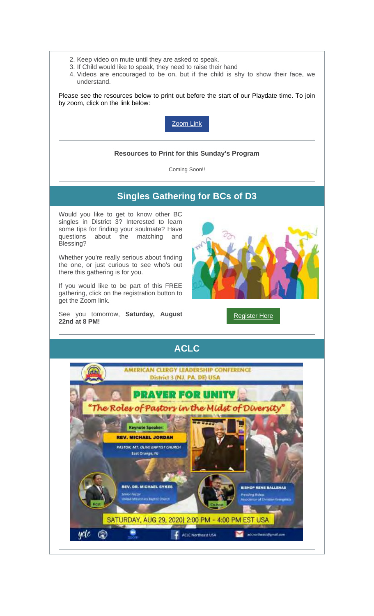- 2. Keep video on mute until they are asked to speak.
- 3. If Child would like to speak, they need to raise their hand
- 4. Videos are encouraged to be on, but if the child is shy to show their face, we understand.

Please see the resources below to print out before the start of our Playdate time. To join by zoom, click on the link below:



#### **Resources to Print for this Sunday's Program**

Coming Soon!!

## **Singles Gathering for BCs of D3**

Would you like to get to know other BC singles in District 3? Interested to learn some tips for finding your soulmate? Have questions about the matching and Blessing?

Whether you're really serious about finding the one, or just curious to see who's out there this gathering is for you.

If you would like to be part of this FREE gathering, click on the registration button to get the Zoom link.

See you tomorrow, **Saturday, August 22nd at 8 PM!**



Register Here